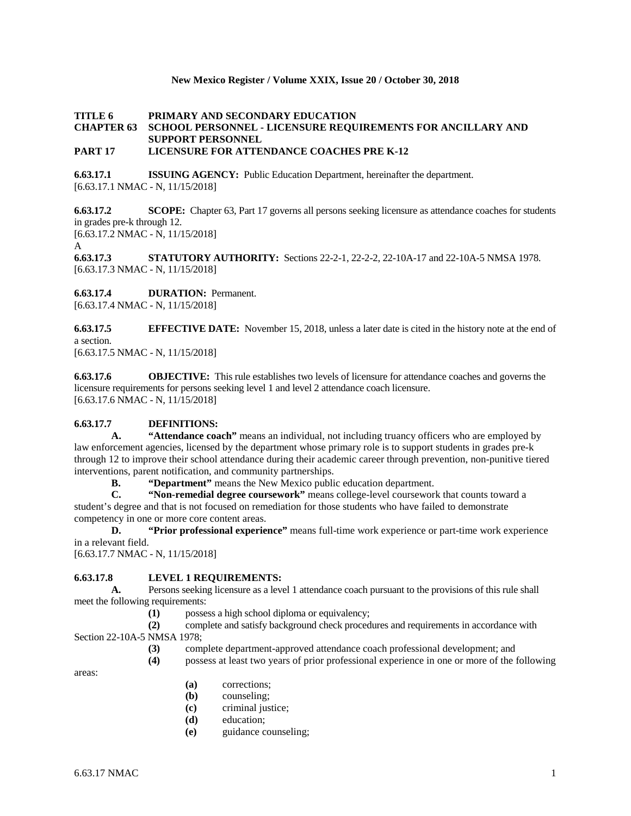### **New Mexico Register / Volume XXIX, Issue 20 / October 30, 2018**

### **TITLE 6 PRIMARY AND SECONDARY EDUCATION CHAPTER 63 SCHOOL PERSONNEL - LICENSURE REQUIREMENTS FOR ANCILLARY AND SUPPORT PERSONNEL PART 17 LICENSURE FOR ATTENDANCE COACHES PRE K-12**

**6.63.17.1 ISSUING AGENCY:** Public Education Department, hereinafter the department. [6.63.17.1 NMAC - N, 11/15/2018]

**6.63.17.2 SCOPE:** Chapter 63, Part 17 governs all persons seeking licensure as attendance coaches for students in grades pre-k through 12. [6.63.17.2 NMAC - N, 11/15/2018]

A

**6.63.17.3 STATUTORY AUTHORITY:** Sections 22-2-1, 22-2-2, 22-10A-17 and 22-10A-5 NMSA 1978. [6.63.17.3 NMAC - N, 11/15/2018]

**6.63.17.4 DURATION:** Permanent. [6.63.17.4 NMAC - N, 11/15/2018]

**6.63.17.5 EFFECTIVE DATE:** November 15, 2018, unless a later date is cited in the history note at the end of a section.

[6.63.17.5 NMAC - N, 11/15/2018]

**6.63.17.6 OBJECTIVE:** This rule establishes two levels of licensure for attendance coaches and governs the licensure requirements for persons seeking level 1 and level 2 attendance coach licensure. [6.63.17.6 NMAC - N, 11/15/2018]

## **6.63.17.7 DEFINITIONS:**

**A. "Attendance coach"** means an individual, not including truancy officers who are employed by law enforcement agencies, licensed by the department whose primary role is to support students in grades pre-k through 12 to improve their school attendance during their academic career through prevention, non-punitive tiered interventions, parent notification, and community partnerships.<br> **B.** "Department" means the New Mexico public

**"Department"** means the New Mexico public education department.

**C. "Non-remedial degree coursework"** means college-level coursework that counts toward a student's degree and that is not focused on remediation for those students who have failed to demonstrate competency in one or more core content areas.

**D. "Prior professional experience"** means full-time work experience or part-time work experience in a relevant field.

[6.63.17.7 NMAC - N, 11/15/2018]

# **6.63.17.8 LEVEL 1 REQUIREMENTS:**

**A.** Persons seeking licensure as a level 1 attendance coach pursuant to the provisions of this rule shall meet the following requirements:

**(1)** possess a high school diploma or equivalency;

**(2)** complete and satisfy background check procedures and requirements in accordance with Section 22-10A-5 NMSA 1978;

**(3)** complete department-approved attendance coach professional development; and

**(4)** possess at least two years of prior professional experience in one or more of the following

areas:

- **(a)** corrections;
- **(b)** counseling;
- **(c)** criminal justice;
- **(d)** education;
- **(e)** guidance counseling;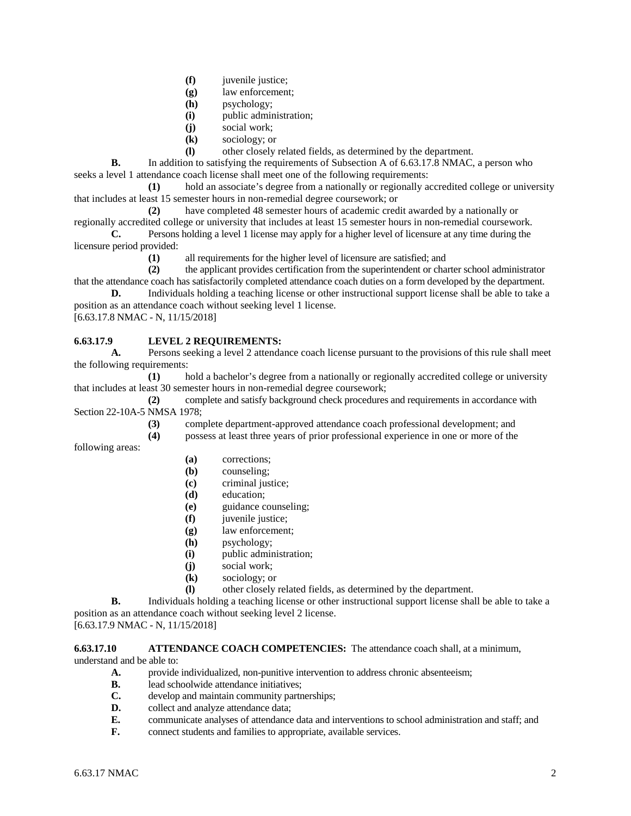- **(f)** juvenile justice;
- **(g)** law enforcement;
- **(h)** psychology;
- **(i)** public administration;
- **(j)** social work;
- **(k)** sociology; or
- **(l)** other closely related fields, as determined by the department.

**B.** In addition to satisfying the requirements of Subsection A of 6.63.17.8 NMAC, a person who seeks a level 1 attendance coach license shall meet one of the following requirements:

**(1)** hold an associate's degree from a nationally or regionally accredited college or university that includes at least 15 semester hours in non-remedial degree coursework; or

**(2)** have completed 48 semester hours of academic credit awarded by a nationally or regionally accredited college or university that includes at least 15 semester hours in non-remedial coursework.

**C.** Persons holding a level 1 license may apply for a higher level of licensure at any time during the licensure period provided:

**(1)** all requirements for the higher level of licensure are satisfied; and

**(2)** the applicant provides certification from the superintendent or charter school administrator that the attendance coach has satisfactorily completed attendance coach duties on a form developed by the department.

**D.** Individuals holding a teaching license or other instructional support license shall be able to take a position as an attendance coach without seeking level 1 license.

[6.63.17.8 NMAC - N, 11/15/2018]

# **6.63.17.9 LEVEL 2 REQUIREMENTS:**

**A.** Persons seeking a level 2 attendance coach license pursuant to the provisions of this rule shall meet the following requirements:

**(1)** hold a bachelor's degree from a nationally or regionally accredited college or university that includes at least 30 semester hours in non-remedial degree coursework;

**(2)** complete and satisfy background check procedures and requirements in accordance with Section 22-10A-5 NMSA 1978;

- **(3)** complete department-approved attendance coach professional development; and
- **(4)** possess at least three years of prior professional experience in one or more of the

following areas:

- **(a)** corrections;
- **(b)** counseling;
- **(c)** criminal justice;
- **(d)** education;
- **(e)** guidance counseling;
- **(f)** juvenile justice;
- **(g)** law enforcement;
- **(h)** psychology;
- **(i)** public administration;
- **(j)** social work;
- **(k)** sociology; or
- **(l)** other closely related fields, as determined by the department.

**B.** Individuals holding a teaching license or other instructional support license shall be able to take a position as an attendance coach without seeking level 2 license.

[6.63.17.9 NMAC - N, 11/15/2018]

**6.63.17.10 ATTENDANCE COACH COMPETENCIES:** The attendance coach shall, at a minimum, understand and be able to:

- **A.** provide individualized, non-punitive intervention to address chronic absenteeism;
- **B.** lead schoolwide attendance initiatives;<br>**C.** develop and maintain community partn
- develop and maintain community partnerships;
- **D.** collect and analyze attendance data;
- **E.** communicate analyses of attendance data and interventions to school administration and staff; and connect students and families to appropriate, available services.
- **F.** connect students and families to appropriate, available services.